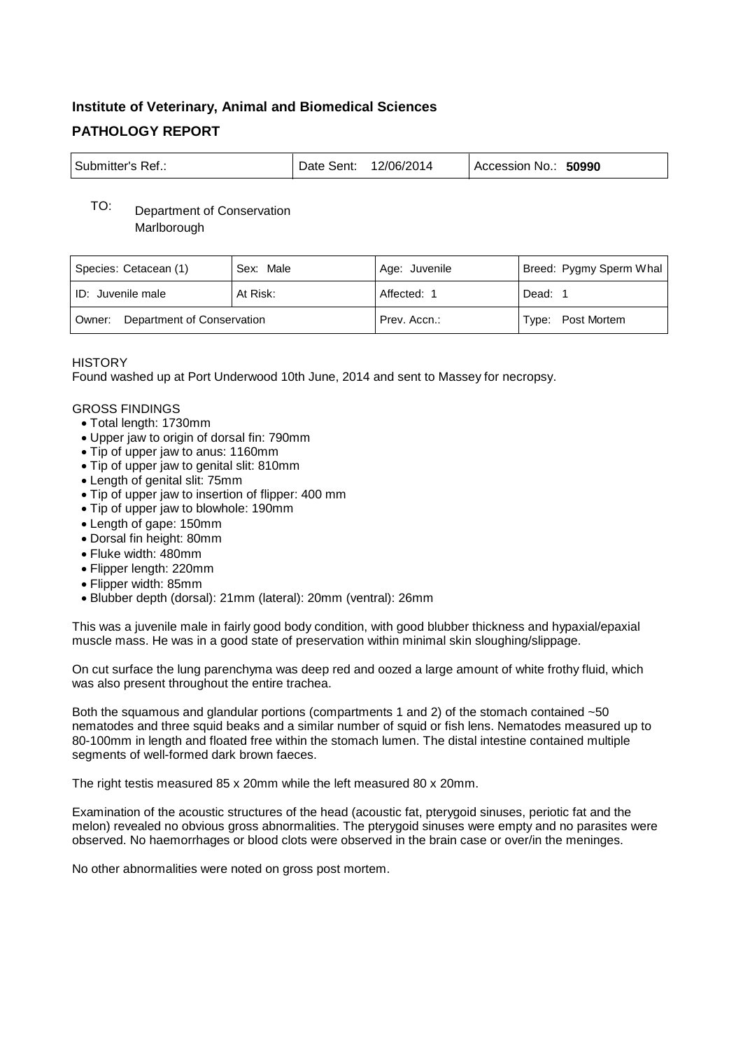# **Institute of Veterinary, Animal and Biomedical Sciences PATHOLOGY REPORT**

| Submitter's Ref.: | Date Sent: | 12/06/2014 | Accession No.: 50990 |
|-------------------|------------|------------|----------------------|
|-------------------|------------|------------|----------------------|

## TO: Department of Conservation **Marlborough**

| Species: Cetacean (1)             | Sex: Male | Age: Juvenile | Breed: Pygmy Sperm Whal |
|-----------------------------------|-----------|---------------|-------------------------|
| ID: Juvenile male                 | At Risk:  | Affected: 1   | Dead: 1                 |
| Owner: Department of Conservation |           | Prev. Accn.:  | Type: Post Mortem       |

### **HISTORY**

Found washed up at Port Underwood 10th June, 2014 and sent to Massey for necropsy.

#### GROSS FINDINGS

- Total length: 1730mm
- Upper jaw to origin of dorsal fin: 790mm
- Tip of upper jaw to anus: 1160mm
- Tip of upper jaw to genital slit: 810mm
- Length of genital slit: 75mm
- Tip of upper jaw to insertion of flipper: 400 mm
- Tip of upper jaw to blowhole: 190mm
- Length of gape: 150mm
- Dorsal fin height: 80mm
- Fluke width: 480mm
- Flipper length: 220mm
- Flipper width: 85mm
- Blubber depth (dorsal): 21mm (lateral): 20mm (ventral): 26mm

This was a juvenile male in fairly good body condition, with good blubber thickness and hypaxial/epaxial muscle mass. He was in a good state of preservation within minimal skin sloughing/slippage.

On cut surface the lung parenchyma was deep red and oozed a large amount of white frothy fluid, which was also present throughout the entire trachea.

Both the squamous and glandular portions (compartments 1 and 2) of the stomach contained ~50 nematodes and three squid beaks and a similar number of squid or fish lens. Nematodes measured up to 80-100mm in length and floated free within the stomach lumen. The distal intestine contained multiple segments of well-formed dark brown faeces.

The right testis measured 85 x 20mm while the left measured 80 x 20mm.

Examination of the acoustic structures of the head (acoustic fat, pterygoid sinuses, periotic fat and the melon) revealed no obvious gross abnormalities. The pterygoid sinuses were empty and no parasites were observed. No haemorrhages or blood clots were observed in the brain case or over/in the meninges.

No other abnormalities were noted on gross post mortem.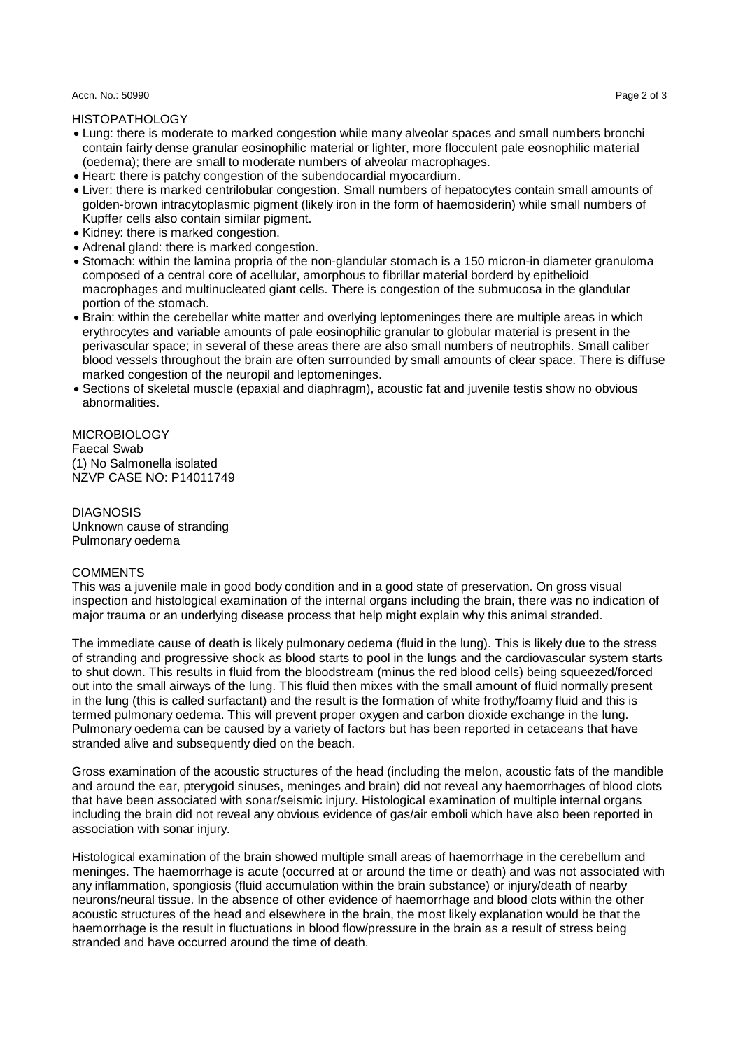Accn. No.: 50990 Page 2 of 3

HISTOPATHOLOGY

- Lung: there is moderate to marked congestion while many alveolar spaces and small numbers bronchi contain fairly dense granular eosinophilic material or lighter, more flocculent pale eosnophilic material (oedema); there are small to moderate numbers of alveolar macrophages.
- Heart: there is patchy congestion of the subendocardial myocardium.
- Liver: there is marked centrilobular congestion. Small numbers of hepatocytes contain small amounts of golden-brown intracytoplasmic pigment (likely iron in the form of haemosiderin) while small numbers of Kupffer cells also contain similar pigment.
- Kidney: there is marked congestion.
- Adrenal gland: there is marked congestion.
- Stomach: within the lamina propria of the non-glandular stomach is a 150 micron-in diameter granuloma composed of a central core of acellular, amorphous to fibrillar material borderd by epithelioid macrophages and multinucleated giant cells. There is congestion of the submucosa in the glandular portion of the stomach.
- Brain: within the cerebellar white matter and overlying leptomeninges there are multiple areas in which erythrocytes and variable amounts of pale eosinophilic granular to globular material is present in the perivascular space; in several of these areas there are also small numbers of neutrophils. Small caliber blood vessels throughout the brain are often surrounded by small amounts of clear space. There is diffuse marked congestion of the neuropil and leptomeninges.
- Sections of skeletal muscle (epaxial and diaphragm), acoustic fat and juvenile testis show no obvious abnormalities.

**MICROBIOLOGY** Faecal Swab (1) No Salmonella isolated NZVP CASE NO: P14011749

DIAGNOSIS Unknown cause of stranding Pulmonary oedema

#### **COMMENTS**

This was a juvenile male in good body condition and in a good state of preservation. On gross visual inspection and histological examination of the internal organs including the brain, there was no indication of major trauma or an underlying disease process that help might explain why this animal stranded.

The immediate cause of death is likely pulmonary oedema (fluid in the lung). This is likely due to the stress of stranding and progressive shock as blood starts to pool in the lungs and the cardiovascular system starts to shut down. This results in fluid from the bloodstream (minus the red blood cells) being squeezed/forced out into the small airways of the lung. This fluid then mixes with the small amount of fluid normally present in the lung (this is called surfactant) and the result is the formation of white frothy/foamy fluid and this is termed pulmonary oedema. This will prevent proper oxygen and carbon dioxide exchange in the lung. Pulmonary oedema can be caused by a variety of factors but has been reported in cetaceans that have stranded alive and subsequently died on the beach.

Gross examination of the acoustic structures of the head (including the melon, acoustic fats of the mandible and around the ear, pterygoid sinuses, meninges and brain) did not reveal any haemorrhages of blood clots that have been associated with sonar/seismic injury. Histological examination of multiple internal organs including the brain did not reveal any obvious evidence of gas/air emboli which have also been reported in association with sonar injury.

Histological examination of the brain showed multiple small areas of haemorrhage in the cerebellum and meninges. The haemorrhage is acute (occurred at or around the time or death) and was not associated with any inflammation, spongiosis (fluid accumulation within the brain substance) or injury/death of nearby neurons/neural tissue. In the absence of other evidence of haemorrhage and blood clots within the other acoustic structures of the head and elsewhere in the brain, the most likely explanation would be that the haemorrhage is the result in fluctuations in blood flow/pressure in the brain as a result of stress being stranded and have occurred around the time of death.